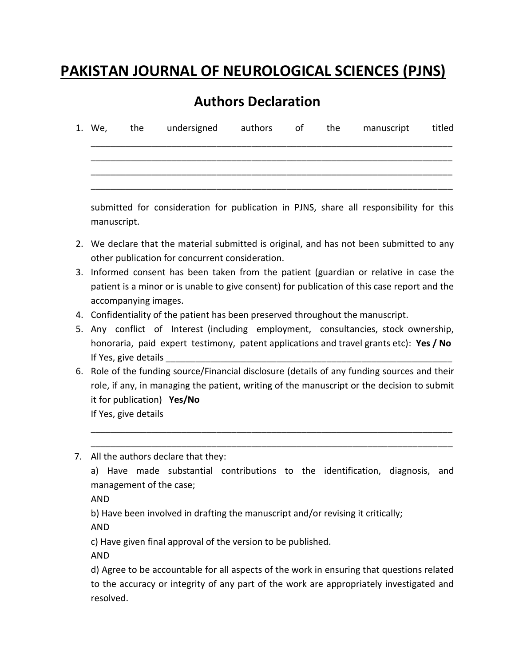## **PAKISTAN JOURNAL OF NEUROLOGICAL SCIENCES (PJNS)**

## **Authors Declaration**

|  | 1. We, the undersigned authors of the |  | manuscript | titled |
|--|---------------------------------------|--|------------|--------|
|  |                                       |  |            |        |
|  |                                       |  |            |        |

submitted for consideration for publication in PJNS, share all responsibility for this manuscript.

- 2. We declare that the material submitted is original, and has not been submitted to any other publication for concurrent consideration.
- 3. Informed consent has been taken from the patient (guardian or relative in case the patient is a minor or is unable to give consent) for publication of this case report and the accompanying images.
- 4. Confidentiality of the patient has been preserved throughout the manuscript.
- 5. Any conflict of Interest (including employment, consultancies, stock ownership, honoraria, paid expert testimony, patent applications and travel grants etc): **Yes / No** If Yes, give details
- 6. Role of the funding source/Financial disclosure (details of any funding sources and their role, if any, in managing the patient, writing of the manuscript or the decision to submit it for publication) **Yes/No** If Yes, give details

\_\_\_\_\_\_\_\_\_\_\_\_\_\_\_\_\_\_\_\_\_\_\_\_\_\_\_\_\_\_\_\_\_\_\_\_\_\_\_\_\_\_\_\_\_\_\_\_\_\_\_\_\_\_\_\_\_\_\_\_\_\_\_\_\_\_\_\_\_\_\_\_

\_\_\_\_\_\_\_\_\_\_\_\_\_\_\_\_\_\_\_\_\_\_\_\_\_\_\_\_\_\_\_\_\_\_\_\_\_\_\_\_\_\_\_\_\_\_\_\_\_\_\_\_\_\_\_\_\_\_\_\_\_\_\_\_\_\_\_\_\_\_\_\_ 7. All the authors declare that they:

a) Have made substantial contributions to the identification, diagnosis, and management of the case;

AND

b) Have been involved in drafting the manuscript and/or revising it critically;

AND

c) Have given final approval of the version to be published.

AND

d) Agree to be accountable for all aspects of the work in ensuring that questions related to the accuracy or integrity of any part of the work are appropriately investigated and resolved.